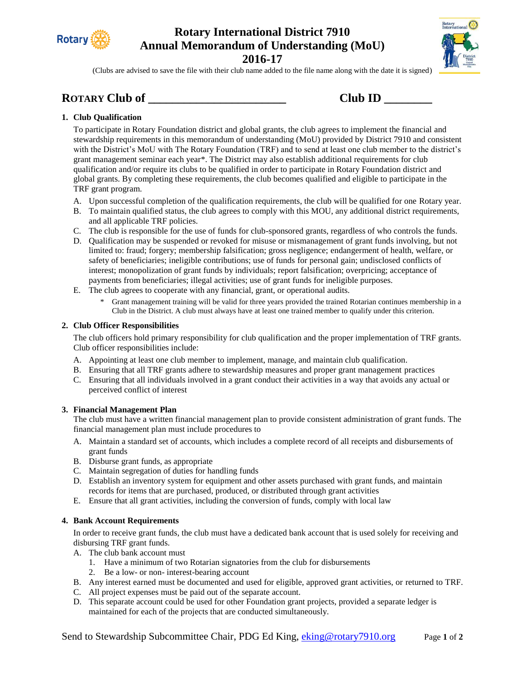

# **Rotary International District 7910 Annual Memorandum of Understanding (MoU) 2016-17**



(Clubs are advised to save the file with their club name added to the file name along with the date it is signed)

# **ROTARY Club of \_\_\_\_\_\_\_\_\_\_\_\_\_\_\_\_\_\_\_\_\_\_\_ Club ID \_\_\_\_\_\_\_\_**

| Club ID |  |
|---------|--|

### **1. Club Qualification**

To participate in Rotary Foundation district and global grants, the club agrees to implement the financial and stewardship requirements in this memorandum of understanding (MoU) provided by District 7910 and consistent with the District's MoU with The Rotary Foundation (TRF) and to send at least one club member to the district's grant management seminar each year\*. The District may also establish additional requirements for club qualification and/or require its clubs to be qualified in order to participate in Rotary Foundation district and global grants. By completing these requirements, the club becomes qualified and eligible to participate in the TRF grant program.

- A. Upon successful completion of the qualification requirements, the club will be qualified for one Rotary year.
- B. To maintain qualified status, the club agrees to comply with this MOU, any additional district requirements, and all applicable TRF policies.
- C. The club is responsible for the use of funds for club-sponsored grants, regardless of who controls the funds.
- D. Qualification may be suspended or revoked for misuse or mismanagement of grant funds involving, but not limited to: fraud; forgery; membership falsification; gross negligence; endangerment of health, welfare, or safety of beneficiaries; ineligible contributions; use of funds for personal gain; undisclosed conflicts of interest; monopolization of grant funds by individuals; report falsification; overpricing; acceptance of payments from beneficiaries; illegal activities; use of grant funds for ineligible purposes.
- E. The club agrees to cooperate with any financial, grant, or operational audits.
	- \* Grant management training will be valid for three years provided the trained Rotarian continues membership in a Club in the District. A club must always have at least one trained member to qualify under this criterion.

### **2. Club Officer Responsibilities**

The club officers hold primary responsibility for club qualification and the proper implementation of TRF grants. Club officer responsibilities include:

- A. Appointing at least one club member to implement, manage, and maintain club qualification.
- B. Ensuring that all TRF grants adhere to stewardship measures and proper grant management practices
- C. Ensuring that all individuals involved in a grant conduct their activities in a way that avoids any actual or perceived conflict of interest

### **3. Financial Management Plan**

The club must have a written financial management plan to provide consistent administration of grant funds. The financial management plan must include procedures to

- A. Maintain a standard set of accounts, which includes a complete record of all receipts and disbursements of grant funds
- B. Disburse grant funds, as appropriate
- C. Maintain segregation of duties for handling funds
- D. Establish an inventory system for equipment and other assets purchased with grant funds, and maintain records for items that are purchased, produced, or distributed through grant activities
- E. Ensure that all grant activities, including the conversion of funds, comply with local law

### **4. Bank Account Requirements**

In order to receive grant funds, the club must have a dedicated bank account that is used solely for receiving and disbursing TRF grant funds.

- A. The club bank account must
	- 1. Have a minimum of two Rotarian signatories from the club for disbursements
	- 2. Be a low- or non- interest-bearing account
- B. Any interest earned must be documented and used for eligible, approved grant activities, or returned to TRF.
- C. All project expenses must be paid out of the separate account.
- D. This separate account could be used for other Foundation grant projects, provided a separate ledger is maintained for each of the projects that are conducted simultaneously.